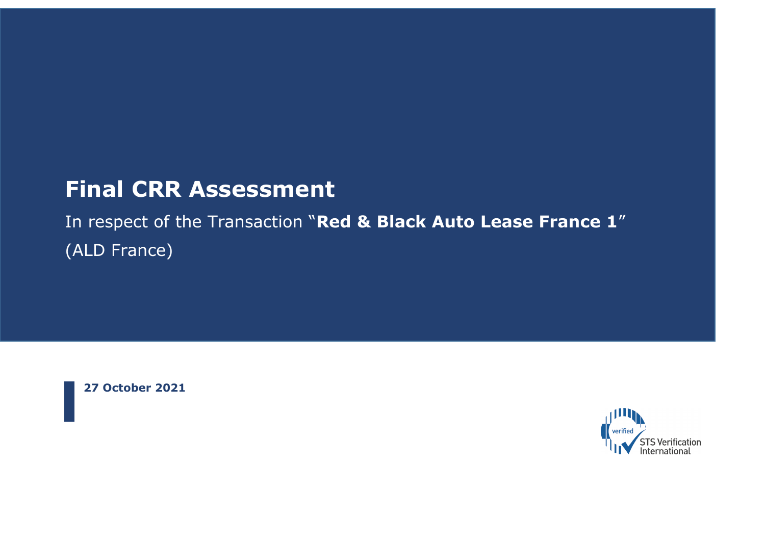# **Final CRR Assessment**

In respect of the Transaction "**Red & Black Auto Lease France 1**" (ALD France)

**27 October 2021**

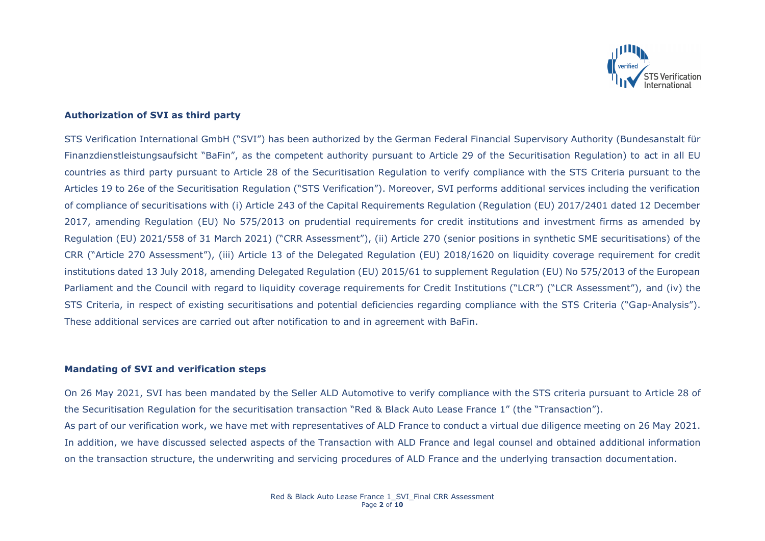

# **Authorization of SVI as third party**

STS Verification International GmbH ("SVI") has been authorized by the German Federal Financial Supervisory Authority (Bundesanstalt für Finanzdienstleistungsaufsicht "BaFin", as the competent authority pursuant to Article 29 of the Securitisation Regulation) to act in all EU countries as third party pursuant to Article 28 of the Securitisation Regulation to verify compliance with the STS Criteria pursuant to the Articles 19 to 26e of the Securitisation Regulation ("STS Verification"). Moreover, SVI performs additional services including the verification of compliance of securitisations with (i) Article 243 of the Capital Requirements Regulation (Regulation (EU) 2017/2401 dated 12 December 2017, amending Regulation (EU) No 575/2013 on prudential requirements for credit institutions and investment firms as amended by Regulation (EU) 2021/558 of 31 March 2021) ("CRR Assessment"), (ii) Article 270 (senior positions in synthetic SME securitisations) of the CRR ("Article 270 Assessment"), (iii) Article 13 of the Delegated Regulation (EU) 2018/1620 on liquidity coverage requirement for credit institutions dated 13 July 2018, amending Delegated Regulation (EU) 2015/61 to supplement Regulation (EU) No 575/2013 of the European Parliament and the Council with regard to liquidity coverage requirements for Credit Institutions ("LCR") ("LCR Assessment"), and (iv) the STS Criteria, in respect of existing securitisations and potential deficiencies regarding compliance with the STS Criteria ("Gap-Analysis"). These additional services are carried out after notification to and in agreement with BaFin.

# **Mandating of SVI and verification steps**

On 26 May 2021, SVI has been mandated by the Seller ALD Automotive to verify compliance with the STS criteria pursuant to Article 28 of the Securitisation Regulation for the securitisation transaction "Red & Black Auto Lease France 1" (the "Transaction"). As part of our verification work, we have met with representatives of ALD France to conduct a virtual due diligence meeting on 26 May 2021. In addition, we have discussed selected aspects of the Transaction with ALD France and legal counsel and obtained additional information on the transaction structure, the underwriting and servicing procedures of ALD France and the underlying transaction documentation.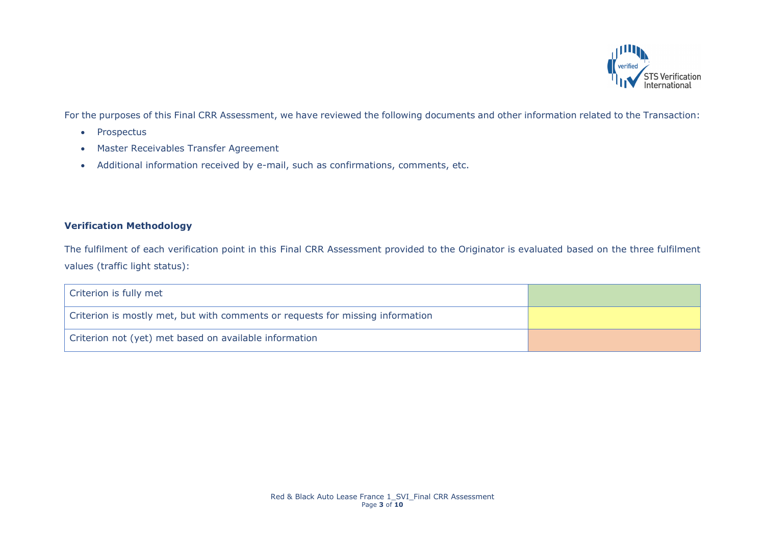

For the purposes of this Final CRR Assessment, we have reviewed the following documents and other information related to the Transaction:

- Prospectus
- Master Receivables Transfer Agreement
- Additional information received by e-mail, such as confirmations, comments, etc.

# **Verification Methodology**

The fulfilment of each verification point in this Final CRR Assessment provided to the Originator is evaluated based on the three fulfilment values (traffic light status):

| Criterion is fully met                                                         |  |
|--------------------------------------------------------------------------------|--|
| Criterion is mostly met, but with comments or requests for missing information |  |
| Criterion not (yet) met based on available information                         |  |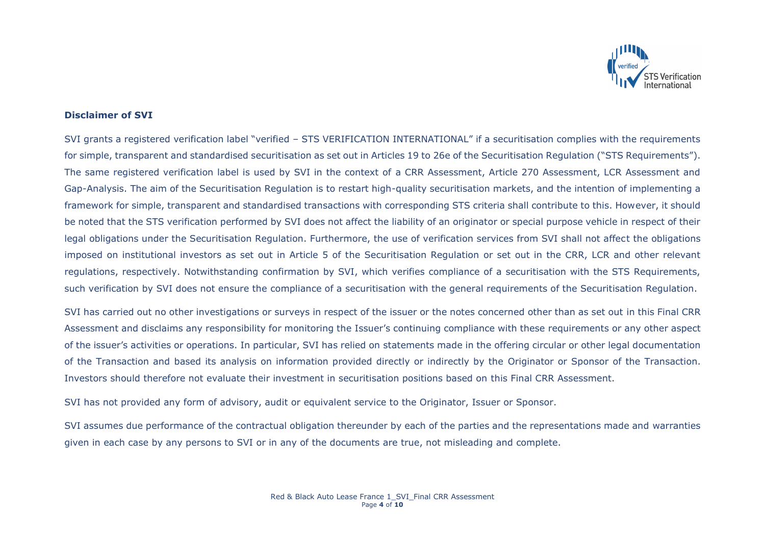

### **Disclaimer of SVI**

SVI grants a registered verification label "verified – STS VERIFICATION INTERNATIONAL" if a securitisation complies with the requirements for simple, transparent and standardised securitisation as set out in Articles 19 to 26e of the Securitisation Regulation ("STS Requirements"). The same registered verification label is used by SVI in the context of a CRR Assessment, Article 270 Assessment, LCR Assessment and Gap-Analysis. The aim of the Securitisation Regulation is to restart high-quality securitisation markets, and the intention of implementing a framework for simple, transparent and standardised transactions with corresponding STS criteria shall contribute to this. However, it should be noted that the STS verification performed by SVI does not affect the liability of an originator or special purpose vehicle in respect of their legal obligations under the Securitisation Regulation. Furthermore, the use of verification services from SVI shall not affect the obligations imposed on institutional investors as set out in Article 5 of the Securitisation Regulation or set out in the CRR, LCR and other relevant regulations, respectively. Notwithstanding confirmation by SVI, which verifies compliance of a securitisation with the STS Requirements, such verification by SVI does not ensure the compliance of a securitisation with the general requirements of the Securitisation Regulation.

SVI has carried out no other investigations or surveys in respect of the issuer or the notes concerned other than as set out in this Final CRR Assessment and disclaims any responsibility for monitoring the Issuer's continuing compliance with these requirements or any other aspect of the issuer's activities or operations. In particular, SVI has relied on statements made in the offering circular or other legal documentation of the Transaction and based its analysis on information provided directly or indirectly by the Originator or Sponsor of the Transaction. Investors should therefore not evaluate their investment in securitisation positions based on this Final CRR Assessment.

SVI has not provided any form of advisory, audit or equivalent service to the Originator, Issuer or Sponsor.

SVI assumes due performance of the contractual obligation thereunder by each of the parties and the representations made and warranties given in each case by any persons to SVI or in any of the documents are true, not misleading and complete.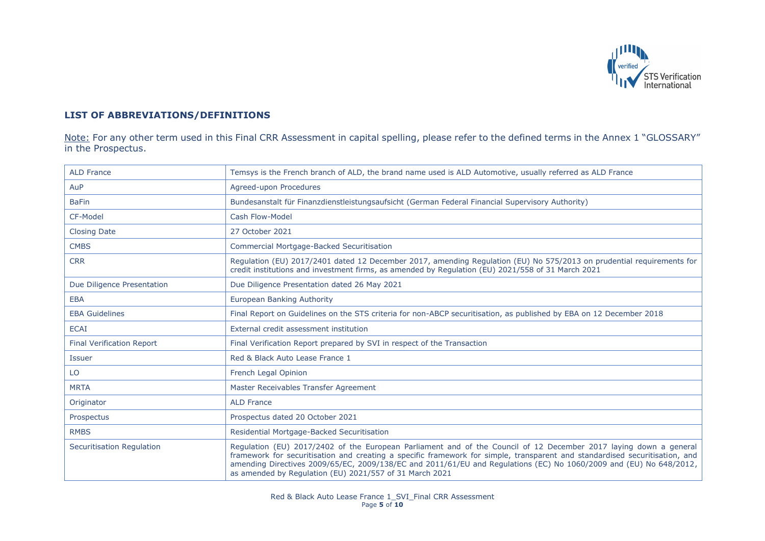

# **LIST OF ABBREVIATIONS/DEFINITIONS**

Note: For any other term used in this Final CRR Assessment in capital spelling, please refer to the defined terms in the Annex 1 "GLOSSARY" in the Prospectus.

| <b>ALD France</b>                | Temsys is the French branch of ALD, the brand name used is ALD Automotive, usually referred as ALD France                                                                                                                                                                                                                                                                                                                         |
|----------------------------------|-----------------------------------------------------------------------------------------------------------------------------------------------------------------------------------------------------------------------------------------------------------------------------------------------------------------------------------------------------------------------------------------------------------------------------------|
| AuP                              | Agreed-upon Procedures                                                                                                                                                                                                                                                                                                                                                                                                            |
| <b>BaFin</b>                     | Bundesanstalt für Finanzdienstleistungsaufsicht (German Federal Financial Supervisory Authority)                                                                                                                                                                                                                                                                                                                                  |
| CF-Model                         | Cash Flow-Model                                                                                                                                                                                                                                                                                                                                                                                                                   |
| <b>Closing Date</b>              | 27 October 2021                                                                                                                                                                                                                                                                                                                                                                                                                   |
| <b>CMBS</b>                      | <b>Commercial Mortgage-Backed Securitisation</b>                                                                                                                                                                                                                                                                                                                                                                                  |
| <b>CRR</b>                       | Regulation (EU) 2017/2401 dated 12 December 2017, amending Regulation (EU) No 575/2013 on prudential requirements for<br>credit institutions and investment firms, as amended by Regulation (EU) 2021/558 of 31 March 2021                                                                                                                                                                                                        |
| Due Diligence Presentation       | Due Diligence Presentation dated 26 May 2021                                                                                                                                                                                                                                                                                                                                                                                      |
| <b>EBA</b>                       | <b>European Banking Authority</b>                                                                                                                                                                                                                                                                                                                                                                                                 |
| <b>EBA Guidelines</b>            | Final Report on Guidelines on the STS criteria for non-ABCP securitisation, as published by EBA on 12 December 2018                                                                                                                                                                                                                                                                                                               |
| <b>ECAI</b>                      | External credit assessment institution                                                                                                                                                                                                                                                                                                                                                                                            |
| <b>Final Verification Report</b> | Final Verification Report prepared by SVI in respect of the Transaction                                                                                                                                                                                                                                                                                                                                                           |
| <b>Issuer</b>                    | Red & Black Auto Lease France 1                                                                                                                                                                                                                                                                                                                                                                                                   |
| LO                               | French Legal Opinion                                                                                                                                                                                                                                                                                                                                                                                                              |
| <b>MRTA</b>                      | Master Receivables Transfer Agreement                                                                                                                                                                                                                                                                                                                                                                                             |
| Originator                       | <b>ALD France</b>                                                                                                                                                                                                                                                                                                                                                                                                                 |
| Prospectus                       | Prospectus dated 20 October 2021                                                                                                                                                                                                                                                                                                                                                                                                  |
| <b>RMBS</b>                      | Residential Mortgage-Backed Securitisation                                                                                                                                                                                                                                                                                                                                                                                        |
| Securitisation Regulation        | Regulation (EU) 2017/2402 of the European Parliament and of the Council of 12 December 2017 laying down a general<br>framework for securitisation and creating a specific framework for simple, transparent and standardised securitisation, and<br>amending Directives 2009/65/EC, 2009/138/EC and 2011/61/EU and Regulations (EC) No 1060/2009 and (EU) No 648/2012,<br>as amended by Regulation (EU) 2021/557 of 31 March 2021 |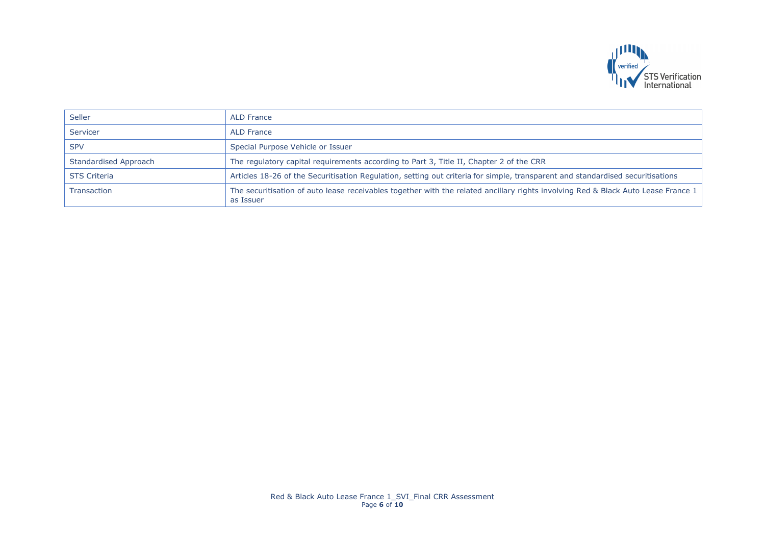

| Seller                | <b>ALD France</b>                                                                                                                              |
|-----------------------|------------------------------------------------------------------------------------------------------------------------------------------------|
| Servicer              | <b>ALD France</b>                                                                                                                              |
| <b>SPV</b>            | Special Purpose Vehicle or Issuer                                                                                                              |
| Standardised Approach | The regulatory capital requirements according to Part 3, Title II, Chapter 2 of the CRR                                                        |
| <b>STS Criteria</b>   | Articles 18-26 of the Securitisation Regulation, setting out criteria for simple, transparent and standardised securitisations                 |
| <b>Transaction</b>    | The securitisation of auto lease receivables together with the related ancillary rights involving Red & Black Auto Lease France 1<br>as Issuer |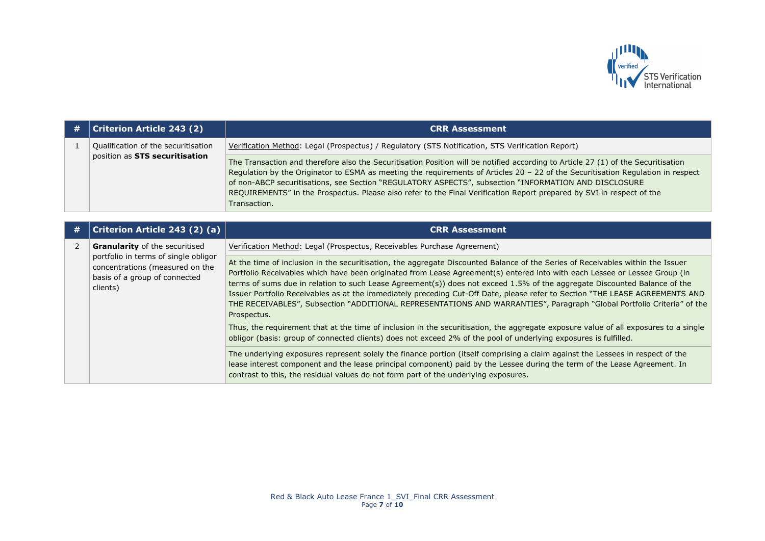

| # | <b>Criterion Article 243 (2)</b>                                      | <b>CRR Assessment</b>                                                                                                                                                                                                                                                                                                                                                                                                                                                                                                   |
|---|-----------------------------------------------------------------------|-------------------------------------------------------------------------------------------------------------------------------------------------------------------------------------------------------------------------------------------------------------------------------------------------------------------------------------------------------------------------------------------------------------------------------------------------------------------------------------------------------------------------|
|   | Qualification of the securitisation<br>position as STS securitisation | Verification Method: Legal (Prospectus) / Regulatory (STS Notification, STS Verification Report)                                                                                                                                                                                                                                                                                                                                                                                                                        |
|   |                                                                       | The Transaction and therefore also the Securitisation Position will be notified according to Article 27 (1) of the Securitisation<br>Regulation by the Originator to ESMA as meeting the requirements of Articles 20 - 22 of the Securitisation Regulation in respect<br>of non-ABCP securitisations, see Section "REGULATORY ASPECTS", subsection "INFORMATION AND DISCLOSURE<br>REQUIREMENTS" in the Prospectus. Please also refer to the Final Verification Report prepared by SVI in respect of the<br>Transaction. |
|   |                                                                       |                                                                                                                                                                                                                                                                                                                                                                                                                                                                                                                         |
| # | Criterion Article 243 (2) (a)                                         | <b>CRR Assessment</b>                                                                                                                                                                                                                                                                                                                                                                                                                                                                                                   |
|   | <b>Granularity</b> of the securitised                                 | Verification Method: Legal (Prospectus, Receivables Purchase Agreement)                                                                                                                                                                                                                                                                                                                                                                                                                                                 |
|   | portfolio in terms of single obligor                                  | At the time of inclusion in the securitication, the aggregate Discounted Balance of the Series of Peccivables within the Issuer                                                                                                                                                                                                                                                                                                                                                                                         |

| concentrations (measured on the<br>basis of a group of connected<br>clients) | At the time of inclusion in the securitisation, the aggregate Discounted Balance of the Series of Receivables within the Issuer<br>Portfolio Receivables which have been originated from Lease Agreement(s) entered into with each Lessee or Lessee Group (in<br>terms of sums due in relation to such Lease Agreement(s)) does not exceed 1.5% of the aggregate Discounted Balance of the<br>Issuer Portfolio Receivables as at the immediately preceding Cut-Off Date, please refer to Section "THE LEASE AGREEMENTS AND<br>THE RECEIVABLES", Subsection "ADDITIONAL REPRESENTATIONS AND WARRANTIES", Paragraph "Global Portfolio Criteria" of the<br>Prospectus. |
|------------------------------------------------------------------------------|---------------------------------------------------------------------------------------------------------------------------------------------------------------------------------------------------------------------------------------------------------------------------------------------------------------------------------------------------------------------------------------------------------------------------------------------------------------------------------------------------------------------------------------------------------------------------------------------------------------------------------------------------------------------|
|                                                                              | Thus, the requirement that at the time of inclusion in the securitisation, the aggregate exposure value of all exposures to a single<br>obligor (basis: group of connected clients) does not exceed 2% of the pool of underlying exposures is fulfilled.                                                                                                                                                                                                                                                                                                                                                                                                            |
|                                                                              | The underlying exposures represent solely the finance portion (itself comprising a claim against the Lessees in respect of the<br>lease interest component and the lease principal component) paid by the Lessee during the term of the Lease Agreement. In<br>contrast to this, the residual values do not form part of the underlying exposures.                                                                                                                                                                                                                                                                                                                  |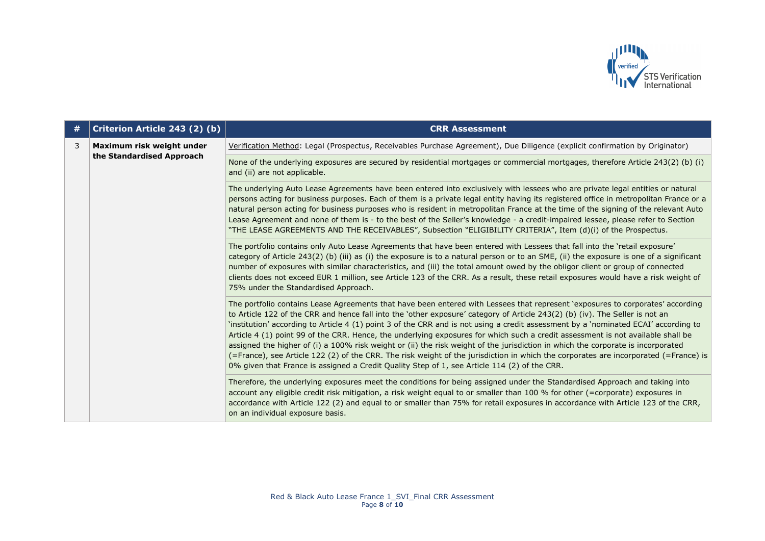

| # | Criterion Article 243 (2) (b)                          | <b>CRR Assessment</b>                                                                                                                                                                                                                                                                                                                                                                                                                                                                                                                                                                                                                                                                                                                                                                                                                                                                                                |
|---|--------------------------------------------------------|----------------------------------------------------------------------------------------------------------------------------------------------------------------------------------------------------------------------------------------------------------------------------------------------------------------------------------------------------------------------------------------------------------------------------------------------------------------------------------------------------------------------------------------------------------------------------------------------------------------------------------------------------------------------------------------------------------------------------------------------------------------------------------------------------------------------------------------------------------------------------------------------------------------------|
| 3 | Maximum risk weight under<br>the Standardised Approach | Verification Method: Legal (Prospectus, Receivables Purchase Agreement), Due Diligence (explicit confirmation by Originator)                                                                                                                                                                                                                                                                                                                                                                                                                                                                                                                                                                                                                                                                                                                                                                                         |
|   |                                                        | None of the underlying exposures are secured by residential mortgages or commercial mortgages, therefore Article 243(2) (b) (i)<br>and (ii) are not applicable.                                                                                                                                                                                                                                                                                                                                                                                                                                                                                                                                                                                                                                                                                                                                                      |
|   |                                                        | The underlying Auto Lease Agreements have been entered into exclusively with lessees who are private legal entities or natural<br>persons acting for business purposes. Each of them is a private legal entity having its registered office in metropolitan France or a<br>natural person acting for business purposes who is resident in metropolitan France at the time of the signing of the relevant Auto<br>Lease Agreement and none of them is - to the best of the Seller's knowledge - a credit-impaired lessee, please refer to Section<br>"THE LEASE AGREEMENTS AND THE RECEIVABLES", Subsection "ELIGIBILITY CRITERIA", Item (d)(i) of the Prospectus.                                                                                                                                                                                                                                                    |
|   |                                                        | The portfolio contains only Auto Lease Agreements that have been entered with Lessees that fall into the 'retail exposure'<br>category of Article 243(2) (b) (iii) as (i) the exposure is to a natural person or to an SME, (ii) the exposure is one of a significant<br>number of exposures with similar characteristics, and (iii) the total amount owed by the obligor client or group of connected<br>clients does not exceed EUR 1 million, see Article 123 of the CRR. As a result, these retail exposures would have a risk weight of<br>75% under the Standardised Approach.                                                                                                                                                                                                                                                                                                                                 |
|   |                                                        | The portfolio contains Lease Agreements that have been entered with Lessees that represent 'exposures to corporates' according<br>to Article 122 of the CRR and hence fall into the 'other exposure' category of Article 243(2) (b) (iv). The Seller is not an<br>'institution' according to Article 4 (1) point 3 of the CRR and is not using a credit assessment by a 'nominated ECAI' according to<br>Article 4 (1) point 99 of the CRR. Hence, the underlying exposures for which such a credit assessment is not available shall be<br>assigned the higher of (i) a 100% risk weight or (ii) the risk weight of the jurisdiction in which the corporate is incorporated<br>(=France), see Article 122 (2) of the CRR. The risk weight of the jurisdiction in which the corporates are incorporated (=France) is<br>0% given that France is assigned a Credit Quality Step of 1, see Article 114 (2) of the CRR. |
|   |                                                        | Therefore, the underlying exposures meet the conditions for being assigned under the Standardised Approach and taking into<br>account any eligible credit risk mitigation, a risk weight equal to or smaller than 100 % for other (=corporate) exposures in<br>accordance with Article 122 (2) and equal to or smaller than 75% for retail exposures in accordance with Article 123 of the CRR,<br>on an individual exposure basis.                                                                                                                                                                                                                                                                                                                                                                                                                                                                                  |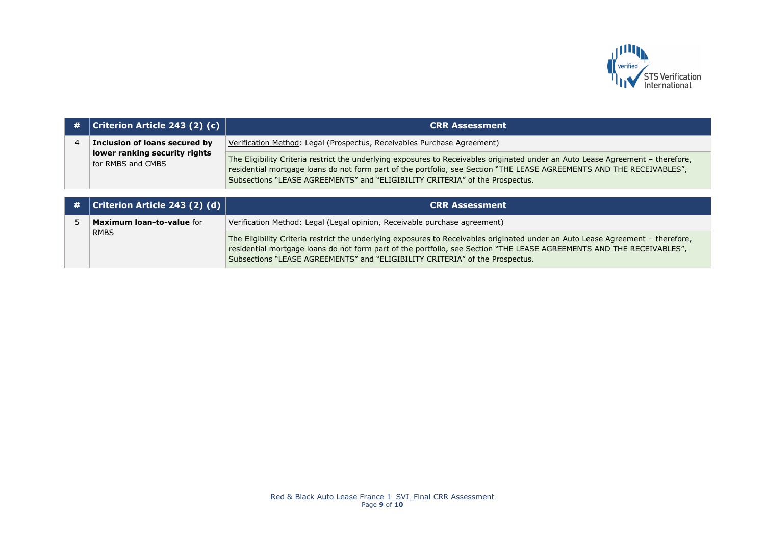

| # | <b>Criterion Article 243 (2) (c)</b>               | <b>CRR Assessment</b>                                                                                                                                                                                                                                                                                                                    |
|---|----------------------------------------------------|------------------------------------------------------------------------------------------------------------------------------------------------------------------------------------------------------------------------------------------------------------------------------------------------------------------------------------------|
|   | Inclusion of loans secured by                      | Verification Method: Legal (Prospectus, Receivables Purchase Agreement)                                                                                                                                                                                                                                                                  |
|   | lower ranking security rights<br>for RMBS and CMBS | The Eligibility Criteria restrict the underlying exposures to Receivables originated under an Auto Lease Agreement - therefore,<br>residential mortgage loans do not form part of the portfolio, see Section "THE LEASE AGREEMENTS AND THE RECEIVABLES",<br>Subsections "LEASE AGREEMENTS" and "ELIGIBILITY CRITERIA" of the Prospectus. |

| $\#$   Criterion Article 243 (2) (d) | <b>CRR Assessment</b>                                                                                                                                                                                                                                                                                                                    |
|--------------------------------------|------------------------------------------------------------------------------------------------------------------------------------------------------------------------------------------------------------------------------------------------------------------------------------------------------------------------------------------|
| <b>Maximum loan-to-value for</b>     | Verification Method: Legal (Legal opinion, Receivable purchase agreement)                                                                                                                                                                                                                                                                |
| <b>RMBS</b>                          | The Eligibility Criteria restrict the underlying exposures to Receivables originated under an Auto Lease Agreement - therefore,<br>residential mortgage loans do not form part of the portfolio, see Section "THE LEASE AGREEMENTS AND THE RECEIVABLES",<br>Subsections "LEASE AGREEMENTS" and "ELIGIBILITY CRITERIA" of the Prospectus. |